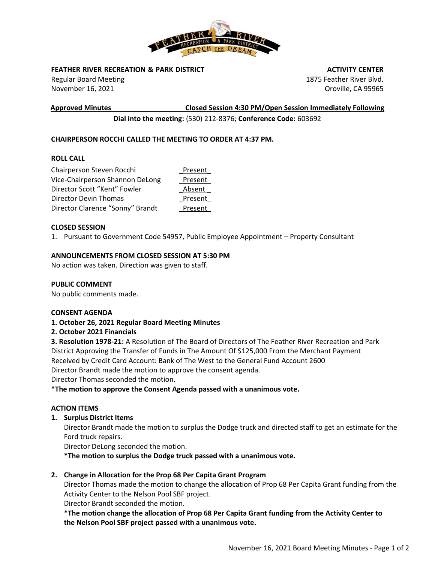

## **FEATHER RIVER RECREATION & PARK DISTRICT**

Regular Board Meeting November 16, 2021

 **ACTIVITY CENTER** 1875 Feather River Blvd. Oroville, CA 95965

**Approved Minutes Closed Session 4:30 PM/Open Session Immediately Following**

**Dial into the meeting:** (530) 212-8376; **Conference Code:** 603692

# **CHAIRPERSON ROCCHI CALLED THE MEETING TO ORDER AT 4:37 PM.**

## **ROLL CALL**

| Chairperson Steven Rocchi        | Present |
|----------------------------------|---------|
| Vice-Chairperson Shannon DeLong  | Present |
| Director Scott "Kent" Fowler     | Absent  |
| Director Devin Thomas            | Present |
| Director Clarence "Sonny" Brandt | Present |

## **CLOSED SESSION**

1. Pursuant to Government Code 54957, Public Employee Appointment – Property Consultant

#### **ANNOUNCEMENTS FROM CLOSED SESSION AT 5:30 PM**

No action was taken. Direction was given to staff.

### **PUBLIC COMMENT**

No public comments made.

#### **CONSENT AGENDA**

## **1. October 26, 2021 Regular Board Meeting Minutes**

#### **2. October 2021 Financials**

**3. Resolution 1978-21:** A Resolution of The Board of Directors of The Feather River Recreation and Park District Approving the Transfer of Funds in The Amount Of \$125,000 From the Merchant Payment Received by Credit Card Account: Bank of The West to the General Fund Account 2600 Director Brandt made the motion to approve the consent agenda.

Director Thomas seconded the motion.

**\*The motion to approve the Consent Agenda passed with a unanimous vote.**

#### **ACTION ITEMS**

**1. Surplus District Items**

Director Brandt made the motion to surplus the Dodge truck and directed staff to get an estimate for the Ford truck repairs.

Director DeLong seconded the motion.

**\*The motion to surplus the Dodge truck passed with a unanimous vote.**

## **2. Change in Allocation for the Prop 68 Per Capita Grant Program**

Director Thomas made the motion to change the allocation of Prop 68 Per Capita Grant funding from the Activity Center to the Nelson Pool SBF project.

Director Brandt seconded the motion.

**\*The motion change the allocation of Prop 68 Per Capita Grant funding from the Activity Center to the Nelson Pool SBF project passed with a unanimous vote.**